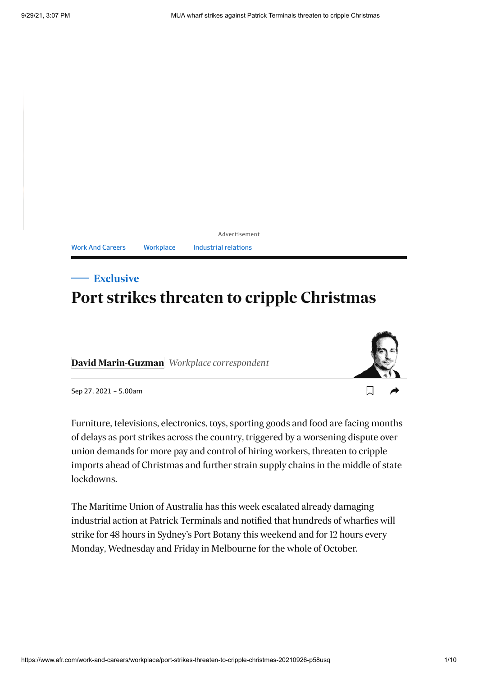Advertisement Work And [Careers](https://www.afr.com/work-and-careers) [Workplace](https://www.afr.com/work-and-careers/workplace) [Industrial](https://www.afr.com/topic/industrial-relations-5yl) relations

# **Port strikes threaten to cripple Christmas Exclusive**

**[David Marin-Guzman](https://www.afr.com/by/david-marin-guzman-gr047a)** *Workplace correspondent*



 $\Box$ 

Sep 27, 2021 – 5.00am

Furniture, televisions, electronics, toys, sporting goods and food are facing months of delays as port strikes across the country, triggered by a worsening dispute over union demands for more pay and control of hiring workers, threaten to cripple imports ahead of Christmas and further strain supply chains in the middle of state lockdowns.

The Maritime Union of Australia has this week escalated already damaging industrial action at Patrick Terminals and notified that hundreds of wharfies will strike for 48 hours in Sydney's Port Botany this weekend and for 12 hours every Monday, Wednesday and Friday in Melbourne for the whole of October.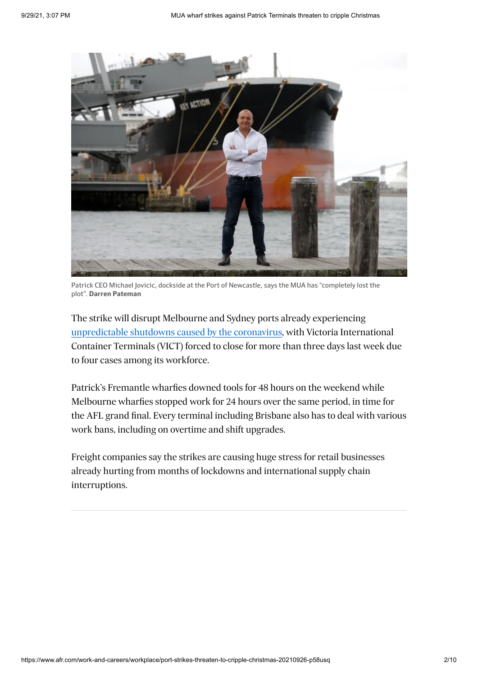

Patrick CEO Michael Jovicic, dockside at the Port of Newcastle, says the MUA has "completely lost the plot". **Darren Pateman**

The strike will disrupt Melbourne and Sydney ports already experiencing [unpredictable shutdowns caused by the coronavirus](https://www.afr.com/work-and-careers/workplace/dp-world-mandates-jab-for-wharfies-to-halt-disruption-20210916-p58sce), with Victoria International Container Terminals (VICT) forced to close for more than three days last week due to four cases among its workforce.

Patrick's Fremantle wharfies downed tools for 48 hours on the weekend while Melbourne wharfies stopped work for 24 hours over the same period, in time for the AFL grand final. Every terminal including Brisbane also has to deal with various work bans, including on overtime and shift upgrades.

Freight companies say the strikes are causing huge stress for retail businesses already hurting from months of lockdowns and international supply chain interruptions.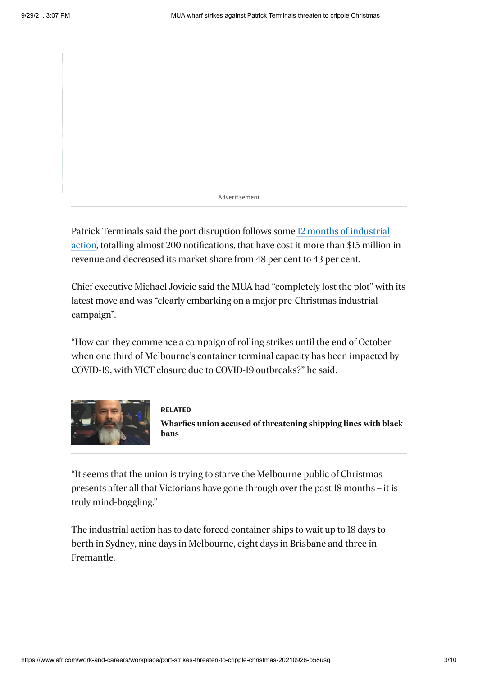Advertisement

Patrick Terminals said the port disruption follows some 12 months of industrial [action, totalling almost 200 notifications, that have cost it more than \\$15 million](https://www.afr.com/work-and-careers/workplace/ships-shun-sydney-as-wharfie-bans-bite-20200918-p55wx5) in revenue and decreased its market share from 48 per cent to 43 per cent.

Chief executive Michael Jovicic said the MUA had "completely lost the plot" with its latest move and was "clearly embarking on a major pre-Christmas industrial campaign".

"How can they commence a campaign of rolling strikes until the end of October when one third of Melbourne's container terminal capacity has been impacted by COVID-19, with VICT closure due to COVID-19 outbreaks?" he said.



#### **RELATED**

**Wharfies union accused of threatening shipping lines with black bans**

"It seems that the union is trying to starve the Melbourne public of Christmas presents after all that Victorians have gone through over the past 18 months – it is truly mind-boggling."

The industrial action has to date forced container ships to wait up to 18 days to berth in Sydney, nine days in Melbourne, eight days in Brisbane and three in Fremantle.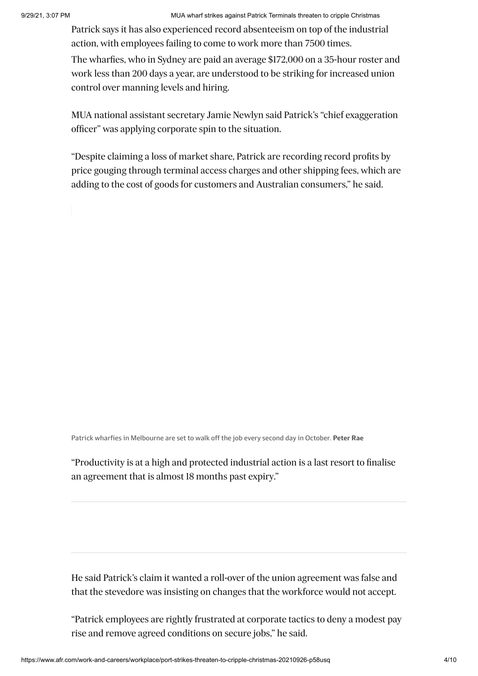Patrick says it has also experienced record absenteeism on top of the industrial action, with employees failing to come to work more than 7500 times.

The wharfies, who in Sydney are paid an average \$172,000 on a 35-hour roster and work less than 200 days a year, are understood to be striking for increased union control over manning levels and hiring.

MUA national assistant secretary Jamie Newlyn said Patrick's "chief exaggeration officer" was applying corporate spin to the situation.

"Despite claiming a loss of market share, Patrick are recording record profits by price gouging through terminal access charges and other shipping fees, which are adding to the cost of goods for customers and Australian consumers," he said.

Patrick wharfies in Melbourne are set to walk off the job every second day in October. **Peter Rae**

"Productivity is at a high and protected industrial action is a last resort to finalise an agreement that is almost 18 months past expiry."

He said Patrick's claim it wanted a roll-over of the union agreement was false and that the stevedore was insisting on changes that the workforce would not accept.

"Patrick employees are rightly frustrated at corporate tactics to deny a modest pay rise and remove agreed conditions on secure jobs," he said.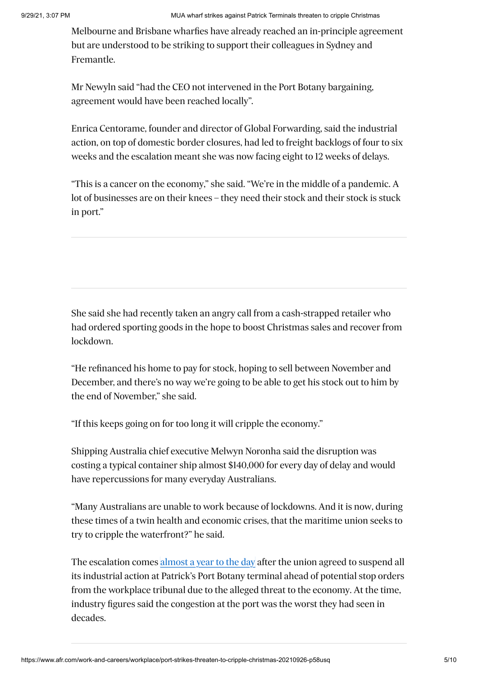Melbourne and Brisbane wharfies have already reached an in-principle agreement but are understood to be striking to support their colleagues in Sydney and Fremantle.

Mr Newyln said "had the CEO not intervened in the Port Botany bargaining, agreement would have been reached locally".

Enrica Centorame, founder and director of Global Forwarding, said the industrial action, on top of domestic border closures, had led to freight backlogs of four to six weeks and the escalation meant she was now facing eight to 12 weeks of delays.

"This is a cancer on the economy," she said. "We're in the middle of a pandemic. A lot of businesses are on their knees – they need their stock and their stock is stuck in port."

She said she had recently taken an angry call from a cash-strapped retailer who had ordered sporting goods in the hope to boost Christmas sales and recover from lockdown.

"He refinanced his home to pay for stock, hoping to sell between November and December, and there's no way we're going to be able to get his stock out to him by the end of November," she said.

"If this keeps going on for too long it will cripple the economy."

Shipping Australia chief executive Melwyn Noronha said the disruption was costing a typical container ship almost \$140,000 for every day of delay and would have repercussions for many everyday Australians.

"Many Australians are unable to work because of lockdowns. And it is now, during these times of a twin health and economic crises, that the maritime union seeks to try to cripple the waterfront?" he said.

The escalation comes [almost a year to the day](https://www.afr.com/work-and-careers/workplace/wharfies-union-agrees-to-temporary-dock-ceasefire-20201001-p560zh) after the union agreed to suspend all its industrial action at Patrick's Port Botany terminal ahead of potential stop orders from the workplace tribunal due to the alleged threat to the economy. At the time, industry figures said the congestion at the port was the worst they had seen in decades.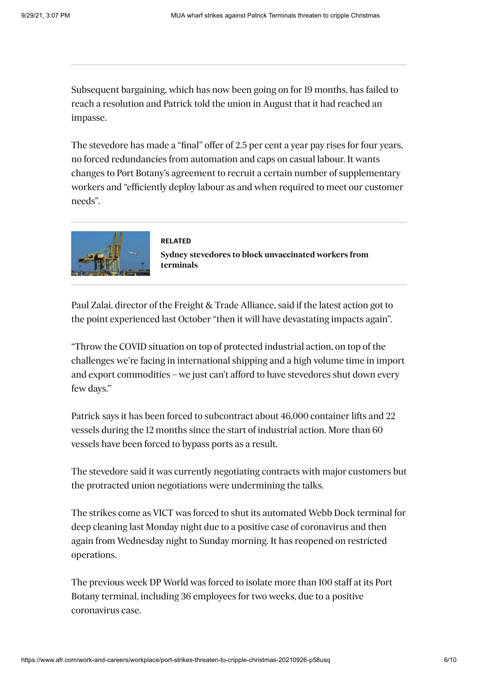Subsequent bargaining, which has now been going on for 19 months, has failed to reach a resolution and Patrick told the union in August that it had reached an impasse.

The stevedore has made a "final" offer of 2.5 per cent a year pay rises for four years, no forced redundancies from automation and caps on casual labour. It wants changes to Port Botany's agreement to recruit a certain number of supplementary workers and "efficiently deploy labour as and when required to meet our customer needs".



**RELATED** Sydney stev[edores to block un](https://www.afr.com/work-and-careers/workplace/sydney-stevedores-to-block-unvaccinated-workers-from-terminals-20210823-p58l38)vaccinated workers from **terminals**

Paul Zalai, director of the Freight & Trade Alliance, said if the latest action got to the point experienced last October "then it will have devastating impacts again".

"Throw the COVID situation on top of protected industrial action, on top of the challenges we're facing in international shipping and a high volume time in import and export commodities – we just can't afford to have stevedores shut down every few days."

Patrick says it has been forced to subcontract about 46,000 container lifts and 22 vessels during the 12 months since the start of industrial action. More than 60 vessels have been forced to bypass ports as a result.

The stevedore said it was currently negotiating contracts with major customers but the protracted union negotiations were undermining the talks.

The strikes come as VICT was forced to shut its automated Webb Dock terminal for deep cleaning last Monday night due to a positive case of coronavirus and then again from Wednesday night to Sunday morning. It has reopened on restricted operations.

The previous week DP World was forced to isolate more than 100 staff at its Port Botany terminal, including 36 employees for two weeks, due to a positive coronavirus case.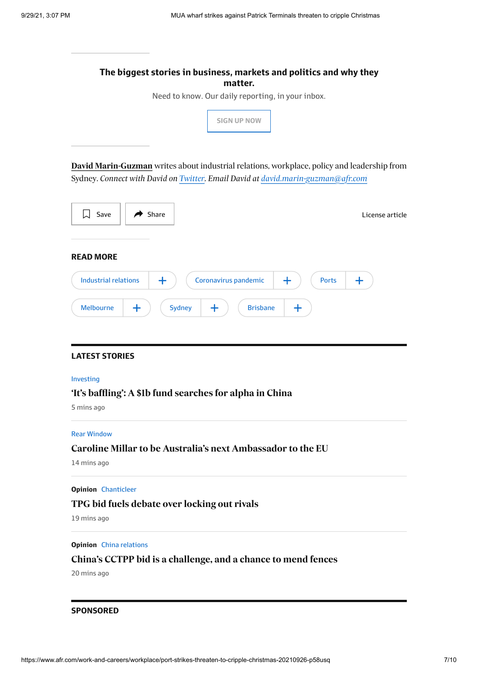|                                                                                  | matter.                                                                                     |
|----------------------------------------------------------------------------------|---------------------------------------------------------------------------------------------|
|                                                                                  | Need to know. Our daily reporting, in your inbox.                                           |
|                                                                                  | <b>SIGN UP NOW</b>                                                                          |
|                                                                                  | David Marin-Guzman writes about industrial relations, workplace, policy and leadership from |
| Sydney. Connect with David on Twitter. Email David at david.marin-guzman@afr.com |                                                                                             |
| Share<br>Save<br>ا⊾ا                                                             | License article                                                                             |
|                                                                                  |                                                                                             |
| <b>READ MORE</b>                                                                 |                                                                                             |
| Coronavirus pandemic<br><b>Industrial relations</b><br>╈                         | <b>Ports</b><br>╋<br>┿                                                                      |
| <b>Sydney</b><br><b>Melbourne</b><br>$\pm$<br>┿                                  | <b>Brisbane</b><br>┿                                                                        |
|                                                                                  |                                                                                             |
|                                                                                  |                                                                                             |
| <b>LATEST STORIES</b>                                                            |                                                                                             |
|                                                                                  |                                                                                             |
|                                                                                  |                                                                                             |
| Investing<br>'It's baffling': A \$1b fund searches for alpha in China            |                                                                                             |

#### Rear [Window](https://www.afr.com/rear-window)

### Caroline Millar to be Australia's next Ambassador to the EU

14 mins ago

#### **Opinion** [Chanticleer](https://www.afr.com/chanticleer)

### **[TPG bid fuels debate over locking out rivals](https://www.afr.com/chanticleer/tpg-bid-fuels-debate-over-locking-out-rivals-20210929-p58vo4)**

19 mins ago

#### **Opinion** China [relations](https://www.afr.com/topic/china-relations-1n86)

### **[China''s CCTPP bid is a challenge, and a chance to mend fences](https://www.afr.com/world/asia/china-s-cctpp-bid-is-a-challenge-and-a-chance-to-mend-fences-20210928-p58vfj) '**

20 mins ago

#### **SPONSORED**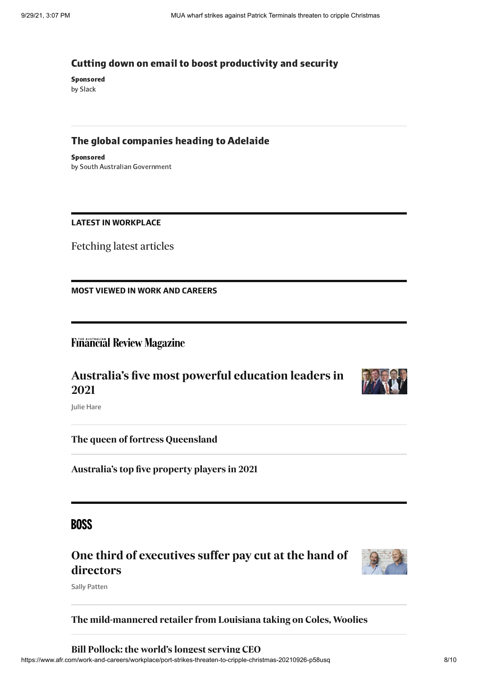#### Cutting down on email to boost [productivity](https://adclick.g.doubleclick.net/pcs/click?xai=AKAOjstyNbvvi_bUR8b4GT-1ZrQCxsEfbPzPvMBNHBSvJMcSGV-qq7jok_yK1a_oFqdKcJyCQjbIN24ehBnHoZxCbXaXDSM2B_WQLn4QmN0tj21-m_59g-R3R5vS-qUrHXgm2aJSdCTQnDRAAVGzmmGHLQySAFzDl7UUa2DJZh5h7HpDSN8FwEClWBFeYIj-8Xg5LBByWW76NijHoEpMq1X0LF_5HfQa7TsL0ZM5htVSND1qvD_7I7_byE5og9RNGwBXVGERloH1iJP18KTcjFIbueCgdapzEPTCtpImOmJ0utv4dkq3ZF4hRM-U1lFtr0EUNP3NcEQzR8etlTGfCsvV7up_oYB07y6vQxgnZeSW&sai=AMfl-YSNO3nYYiWcHqOfJfQ5yZD9cssLMxEPdRTosqkP6uOvT0hf8yhB6v2PGmCQfJjoVIdc_LRi9oza3XB-e3ACZMHCs1udHm26t-14xJoW&sig=Cg0ArKJSzFdrAROz9oE7EAE&fbs_aeid=[gw_fbsaeid]&urlfix=1&adurl=https://www.afr.com/technology/tech-cuts-employees-some-slack-in-hybrid-workplace-20210824-p58lds) and security

Sponsored by Slack

### The global [companies](https://adclick.g.doubleclick.net/pcs/click?xai=AKAOjst_5zTPB4HI5iPqhb9o6wGLgb2taVTN2STZsvdSQ9L3HOIBcI8T-miBY-0pqktg-6ja_RplOcakS4RT31imZ0laaXT5EHwvZ1BHu1Jf4VkspDGHWdxOn45LiR_CXs9QINtYDK0BolzHjSylZdXPPFsPZEZXC1Ya9W1fpnP776wK_790qWMMRTt5eV5-Dm_6657cSrvEC35HtqBLyG9mLWa1dd0-e7zAD6wk3jxG7lygAVjH0JgU8jGJLl9G-n3chmzrqO7BG6GjsXZijM-5gOIUh6BojqAKbLj7K0rgC6cHk-O-7jlHH3Y7-e0xJuLM4hpLAXBjVNoWqCSgzi9WnAdCoPpGMwyV35C3j5FL&sai=AMfl-YRM5_YuE8PoE-9QbF-S5yy2n2enzJd-tx5xy9TVXeg6BD1yv8hK4FLNBv-bdjiuXCJshLlg-GgUlIpHTrhWRXKJFVGdnUO-fIJ-mtxs&sig=Cg0ArKJSzKWnOWv-wgjzEAE&fbs_aeid=[gw_fbsaeid]&urlfix=1&adurl=https://www.afr.com/policy/economy/south-australia-the-globally-connected-state-of-innovation-20210915-p58rt1) heading to Adelaide

Sponsored by South Australian Government

#### **LATEST IN WORKPLACE**

Fetching latest articles

**MOST VIEWED IN WORK AND CAREERS**

### **Financial Review Magazine**

## Australia's five most powerful education leaders in **2021**



Julie Hare

**[The queen of fortress Queensland](https://www.afr.com/politics/the-queen-of-fortress-queensland-20210906-p58p64)**

Australia's top five property players in 2021

## **BOSS**

## **[One third of executives suffer pay cut at the hand of](https://www.afr.com/work-and-careers/leaders/one-third-of-executives-suffer-pay-cut-at-the-hand-of-directors-20210927-p58v16) directors**



Sally Patten

### **[The mild-mannered retailer from Louisiana taking on Coles, Woolies](https://www.afr.com/companies/retail/the-mild-mannered-retailer-from-louisiana-taking-on-coles-woolies-20210915-p58rxi)**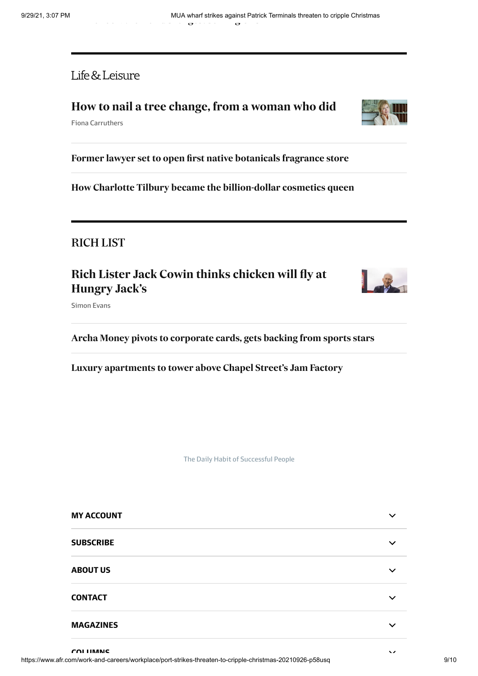Life & Leisure

### **[How to nail a tree change, from a woman who did](https://www.afr.com/life-and-luxury/design/how-to-nail-a-tree-change-from-a-woman-who-did-20210906-p58p70)**

Fiona Carruthers

Former lawyer set to open first native botanicals fragrance store

**[How Charlotte Tilbury became the billion-dollar cosmetics queen](https://www.afr.com/life-and-luxury/fashion-and-style/how-charlotte-tilbury-became-the-billion-dollar-cosmetics-queen-20210922-p58tr5)**

## **RICH LIST**

## Rich Lister Jack Cowin thinks chicken will fly at **Hungry Jack's**



Archa Money pivots to corporate cards, gets backing from sports stars

Luxury apartments to tower above Chapel Street's Jam Factory

The Daily Habit of Successful People

| <b>MY ACCOUNT</b> |              |
|-------------------|--------------|
| <b>SUBSCRIBE</b>  | $\checkmark$ |
| <b>ABOUT US</b>   | $\checkmark$ |
| <b>CONTACT</b>    | ╰            |
| <b>MAGAZINES</b>  | ╰            |

**COLUMNS**

 $\ddot{\phantom{0}}$